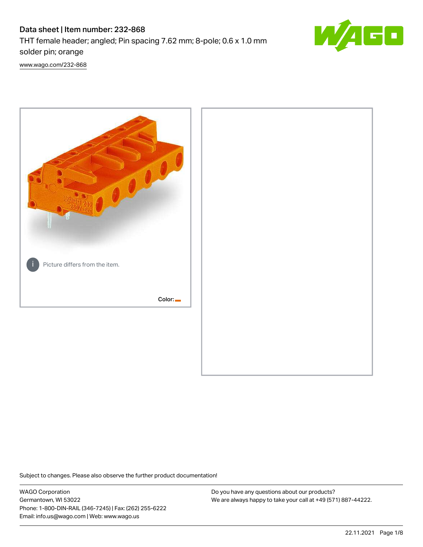# Data sheet | Item number: 232-868

THT female header; angled; Pin spacing 7.62 mm; 8-pole; 0.6 x 1.0 mm solder pin; orange



[www.wago.com/232-868](http://www.wago.com/232-868)



Subject to changes. Please also observe the further product documentation!

WAGO Corporation Germantown, WI 53022 Phone: 1-800-DIN-RAIL (346-7245) | Fax: (262) 255-6222 Email: info.us@wago.com | Web: www.wago.us

Do you have any questions about our products? We are always happy to take your call at +49 (571) 887-44222.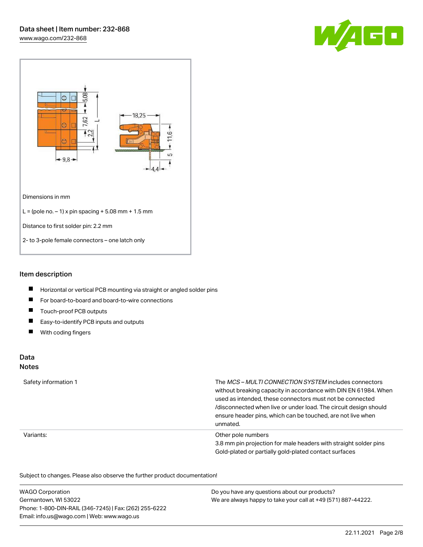



## Item description

- $\blacksquare$ Horizontal or vertical PCB mounting via straight or angled solder pins
- $\blacksquare$ For board-to-board and board-to-wire connections
- $\blacksquare$ Touch-proof PCB outputs
- $\blacksquare$ Easy-to-identify PCB inputs and outputs
- $\blacksquare$ With coding fingers

# Data

### **Notes**

| Safety information 1 | The MCS-MULTI CONNECTION SYSTEM includes connectors<br>without breaking capacity in accordance with DIN EN 61984. When<br>used as intended, these connectors must not be connected<br>/disconnected when live or under load. The circuit design should<br>ensure header pins, which can be touched, are not live when<br>unmated. |
|----------------------|-----------------------------------------------------------------------------------------------------------------------------------------------------------------------------------------------------------------------------------------------------------------------------------------------------------------------------------|
| Variants:            | Other pole numbers<br>3.8 mm pin projection for male headers with straight solder pins<br>Gold-plated or partially gold-plated contact surfaces                                                                                                                                                                                   |

Subject to changes. Please also observe the further product documentation!  $\overline{\mathcal{O}}$ 

| <b>WAGO Corporation</b>                                | Do you have any questions about our products?                 |
|--------------------------------------------------------|---------------------------------------------------------------|
| Germantown, WI 53022                                   | We are always happy to take your call at +49 (571) 887-44222. |
| Phone: 1-800-DIN-RAIL (346-7245)   Fax: (262) 255-6222 |                                                               |
| Email: info.us@wago.com   Web: www.wago.us             |                                                               |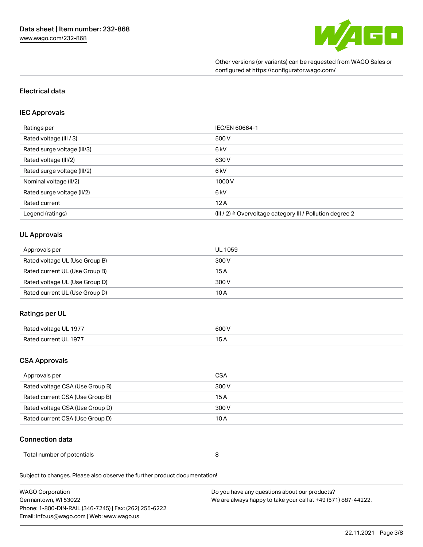

Other versions (or variants) can be requested from WAGO Sales or configured at https://configurator.wago.com/

## Electrical data

### IEC Approvals

| Ratings per                 | IEC/EN 60664-1                                                        |
|-----------------------------|-----------------------------------------------------------------------|
| Rated voltage (III / 3)     | 500 V                                                                 |
| Rated surge voltage (III/3) | 6 kV                                                                  |
| Rated voltage (III/2)       | 630 V                                                                 |
| Rated surge voltage (III/2) | 6 <sub>kV</sub>                                                       |
| Nominal voltage (II/2)      | 1000V                                                                 |
| Rated surge voltage (II/2)  | 6 <sub>kV</sub>                                                       |
| Rated current               | 12A                                                                   |
| Legend (ratings)            | $(III / 2)$ $\triangle$ Overvoltage category III / Pollution degree 2 |

## UL Approvals

| Approvals per                  | UL 1059 |
|--------------------------------|---------|
| Rated voltage UL (Use Group B) | 300 V   |
| Rated current UL (Use Group B) | 15 A    |
| Rated voltage UL (Use Group D) | 300 V   |
| Rated current UL (Use Group D) | 10 A    |

## Ratings per UL

| Rated voltage UL 1977      | 600 V |
|----------------------------|-------|
| Rated current l<br>III 197 | . J F |

## CSA Approvals

| Approvals per                   | CSA   |
|---------------------------------|-------|
| Rated voltage CSA (Use Group B) | 300 V |
| Rated current CSA (Use Group B) | 15 A  |
| Rated voltage CSA (Use Group D) | 300 V |
| Rated current CSA (Use Group D) | 10 A  |

#### Connection data

| Total number of potentials |  |
|----------------------------|--|
|----------------------------|--|

Subject to changes. Please also observe the further product documentation!

| <b>WAGO Corporation</b>                                | Do you have any questions about our products?                 |
|--------------------------------------------------------|---------------------------------------------------------------|
| Germantown, WI 53022                                   | We are always happy to take your call at +49 (571) 887-44222. |
| Phone: 1-800-DIN-RAIL (346-7245)   Fax: (262) 255-6222 |                                                               |
| Email: info.us@wago.com   Web: www.wago.us             |                                                               |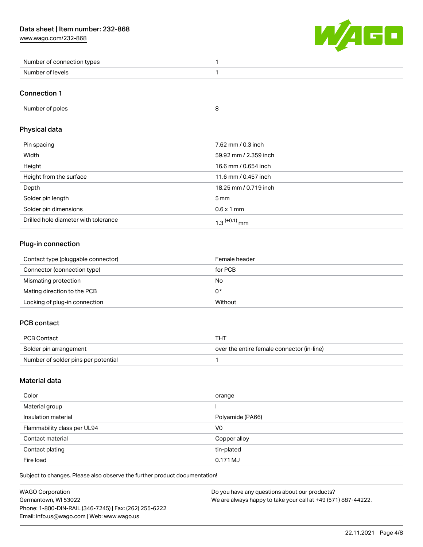[www.wago.com/232-868](http://www.wago.com/232-868)



| Number<br>r of connection types |  |
|---------------------------------|--|
| Number<br>levels                |  |

### Connection 1

| Number of poles |  |
|-----------------|--|
|-----------------|--|

# Physical data

| Pin spacing                          | 7.62 mm / 0.3 inch    |
|--------------------------------------|-----------------------|
| Width                                | 59.92 mm / 2.359 inch |
| Height                               | 16.6 mm / 0.654 inch  |
| Height from the surface              | 11.6 mm / 0.457 inch  |
| Depth                                | 18.25 mm / 0.719 inch |
| Solder pin length                    | $5 \,\mathrm{mm}$     |
| Solder pin dimensions                | $0.6 \times 1$ mm     |
| Drilled hole diameter with tolerance | $1.3$ $(+0.1)$ mm     |

# Plug-in connection

| Contact type (pluggable connector) | Female header |
|------------------------------------|---------------|
| Connector (connection type)        | for PCB       |
| Mismating protection               | No            |
| Mating direction to the PCB        | 0°            |
| Locking of plug-in connection      | Without       |

# PCB contact

| PCB Contact                         | THT                                        |
|-------------------------------------|--------------------------------------------|
| Solder pin arrangement              | over the entire female connector (in-line) |
| Number of solder pins per potential |                                            |

## Material data

| Color                       | orange           |
|-----------------------------|------------------|
| Material group              |                  |
| Insulation material         | Polyamide (PA66) |
| Flammability class per UL94 | V <sub>0</sub>   |
| Contact material            | Copper alloy     |
| Contact plating             | tin-plated       |
| Fire load                   | 0.171 MJ         |

Subject to changes. Please also observe the further product documentation!

| <b>WAGO Corporation</b>                                | Do you have any questions about our products?                 |
|--------------------------------------------------------|---------------------------------------------------------------|
| Germantown, WI 53022                                   | We are always happy to take your call at +49 (571) 887-44222. |
| Phone: 1-800-DIN-RAIL (346-7245)   Fax: (262) 255-6222 |                                                               |
| Email: info.us@wago.com   Web: www.wago.us             |                                                               |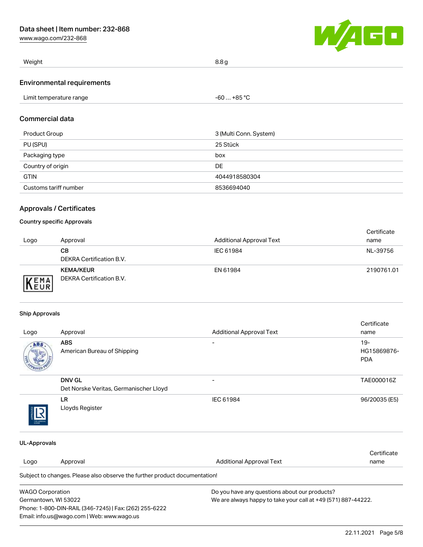[www.wago.com/232-868](http://www.wago.com/232-868)



| Weight | ہ صدت<br>$\ddotsc$ |
|--------|--------------------|
|        |                    |

### Environmental requirements

| Limit temperature range<br>. | $-60+85 °C$ |  |
|------------------------------|-------------|--|

## Commercial data

| Product Group         | 3 (Multi Conn. System) |
|-----------------------|------------------------|
| PU (SPU)              | 25 Stück               |
| Packaging type        | box                    |
| Country of origin     | DE                     |
| <b>GTIN</b>           | 4044918580304          |
| Customs tariff number | 8536694040             |

## Approvals / Certificates

### Country specific Approvals

| Logo | Approval                                     | <b>Additional Approval Text</b> | Certificate<br>name |
|------|----------------------------------------------|---------------------------------|---------------------|
|      | CВ<br>DEKRA Certification B.V.               | IEC 61984                       | NL-39756            |
| EMA  | <b>KEMA/KEUR</b><br>DEKRA Certification B.V. | EN 61984                        | 2190761.01          |

#### Ship Approvals

Phone: 1-800-DIN-RAIL (346-7245) | Fax: (262) 255-6222

Email: info.us@wago.com | Web: www.wago.us

| Logo                    | Approval                                                                   | <b>Additional Approval Text</b>                               | Certificate<br>name |  |
|-------------------------|----------------------------------------------------------------------------|---------------------------------------------------------------|---------------------|--|
| ABS                     | <b>ABS</b>                                                                 |                                                               | $19 -$              |  |
|                         | American Bureau of Shipping                                                |                                                               | HG15869876-         |  |
|                         |                                                                            |                                                               | <b>PDA</b>          |  |
|                         | <b>DNV GL</b>                                                              |                                                               | TAE000016Z          |  |
|                         | Det Norske Veritas, Germanischer Lloyd                                     |                                                               |                     |  |
|                         | LR.                                                                        | IEC 61984                                                     | 96/20035 (E5)       |  |
|                         | Lloyds Register                                                            |                                                               |                     |  |
| <b>UL-Approvals</b>     |                                                                            |                                                               |                     |  |
|                         |                                                                            |                                                               | Certificate         |  |
| Logo                    | Approval                                                                   | <b>Additional Approval Text</b>                               | name                |  |
|                         | Subject to changes. Please also observe the further product documentation! |                                                               |                     |  |
| <b>WAGO Corporation</b> |                                                                            | Do you have any questions about our products?                 |                     |  |
| Germantown, WI 53022    |                                                                            | We are always happy to take your call at +49 (571) 887-44222. |                     |  |

22.11.2021 Page 5/8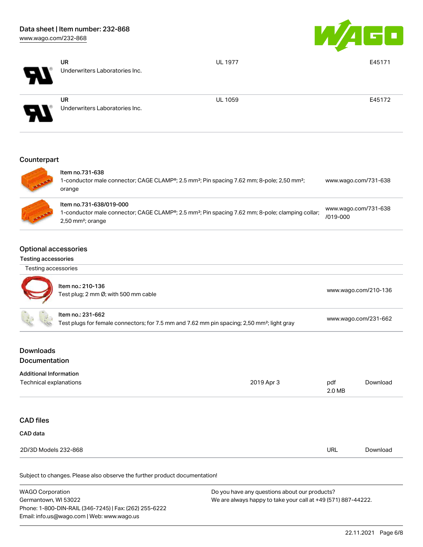

| $\boldsymbol{\mathcal{A}}$ | <b>UR</b><br>Underwriters Laboratories Inc. | <b>UL 1977</b> | E45171 |
|----------------------------|---------------------------------------------|----------------|--------|
| 8                          | <b>UR</b><br>Underwriters Laboratories Inc. | <b>UL 1059</b> | E45172 |
| Counterpart                |                                             |                |        |



| Item no.731-638<br>1-conductor male connector; CAGE CLAMP®; 2.5 mm <sup>2</sup> ; Pin spacing 7.62 mm; 8-pole; 2,50 mm <sup>2</sup> ;<br>orange                            | www.wago.com/731-638                 |
|----------------------------------------------------------------------------------------------------------------------------------------------------------------------------|--------------------------------------|
| Item no.731-638/019-000<br>1-conductor male connector; CAGE CLAMP®; 2.5 mm <sup>2</sup> ; Pin spacing 7.62 mm; 8-pole; clamping collar;<br>$2,50$ mm <sup>2</sup> ; orange | www.wago.com/731-638<br>$/019 - 000$ |

## Optional accessories

### Testing accessories

CAD data

| Testing accessories |                                                                        |
|---------------------|------------------------------------------------------------------------|
|                     | Item no.: 210-136<br>Test plug; 2 mm $\varnothing$ ; with 500 mm cable |
|                     | Item no.: 231-662<br>Test plugs for female connectors; for 7           |

|                               | $115111110 210-100$<br>Test plug; 2 mm Ø; with 500 mm cable                                                                  |            | www.wago.com/210-136 |          |
|-------------------------------|------------------------------------------------------------------------------------------------------------------------------|------------|----------------------|----------|
|                               | Item no.: 231-662<br>Test plugs for female connectors; for 7.5 mm and 7.62 mm pin spacing; 2,50 mm <sup>2</sup> ; light gray |            | www.wago.com/231-662 |          |
| <b>Downloads</b>              |                                                                                                                              |            |                      |          |
| <b>Documentation</b>          |                                                                                                                              |            |                      |          |
| <b>Additional Information</b> |                                                                                                                              |            |                      |          |
| Technical explanations        |                                                                                                                              | 2019 Apr 3 | pdf<br>2.0 MB        | Download |
|                               |                                                                                                                              |            |                      |          |
| <b>CAD files</b>              |                                                                                                                              |            |                      |          |

| 2D/3D Models 232-868<br>$ -$<br>. | <b>URL</b> | i )ownloac |
|-----------------------------------|------------|------------|
|                                   |            |            |

Subject to changes. Please also observe the further product documentation!

| <b>WAGO Corporation</b>                                | Do you have any questions about our products?                 |
|--------------------------------------------------------|---------------------------------------------------------------|
| Germantown, WI 53022                                   | We are always happy to take your call at +49 (571) 887-44222. |
| Phone: 1-800-DIN-RAIL (346-7245)   Fax: (262) 255-6222 |                                                               |
| Email: info.us@wago.com   Web: www.wago.us             |                                                               |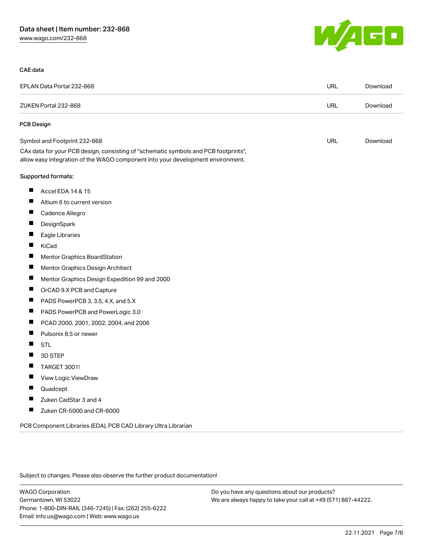

#### CAE data

|   | EPLAN Data Portal 232-868                                                                                                                                              | URL        | Download |
|---|------------------------------------------------------------------------------------------------------------------------------------------------------------------------|------------|----------|
|   | ZUKEN Portal 232-868                                                                                                                                                   | <b>URL</b> | Download |
|   | PCB Design                                                                                                                                                             |            |          |
|   | Symbol and Footprint 232-868                                                                                                                                           | <b>URL</b> | Download |
|   | CAx data for your PCB design, consisting of "schematic symbols and PCB footprints",<br>allow easy integration of the WAGO component into your development environment. |            |          |
|   | Supported formats:                                                                                                                                                     |            |          |
| ш | Accel EDA 14 & 15                                                                                                                                                      |            |          |
| ш | Altium 6 to current version                                                                                                                                            |            |          |
|   | Cadence Allegro                                                                                                                                                        |            |          |
| П | DesignSpark                                                                                                                                                            |            |          |
|   | Eagle Libraries                                                                                                                                                        |            |          |
| ш | KiCad                                                                                                                                                                  |            |          |
|   | <b>Mentor Graphics BoardStation</b>                                                                                                                                    |            |          |
|   | Mentor Graphics Design Architect                                                                                                                                       |            |          |
| Ш | Mentor Graphics Design Expedition 99 and 2000                                                                                                                          |            |          |
|   | OrCAD 9.X PCB and Capture                                                                                                                                              |            |          |
| ш | PADS PowerPCB 3, 3.5, 4.X, and 5.X                                                                                                                                     |            |          |
| ш | PADS PowerPCB and PowerLogic 3.0                                                                                                                                       |            |          |
|   | PCAD 2000, 2001, 2002, 2004, and 2006                                                                                                                                  |            |          |
| ш | Pulsonix 8.5 or newer                                                                                                                                                  |            |          |
|   | <b>STL</b>                                                                                                                                                             |            |          |
| ш | 3D STEP                                                                                                                                                                |            |          |
|   | TARGET 3001!                                                                                                                                                           |            |          |
|   | View Logic ViewDraw                                                                                                                                                    |            |          |
| H | Quadcept                                                                                                                                                               |            |          |
|   | Zuken CadStar 3 and 4                                                                                                                                                  |            |          |
| ш | Zuken CR-5000 and CR-8000                                                                                                                                              |            |          |
|   |                                                                                                                                                                        |            |          |

PCB Component Libraries (EDA), PCB CAD Library Ultra Librarian

Subject to changes. Please also observe the further product documentation!

WAGO Corporation Germantown, WI 53022 Phone: 1-800-DIN-RAIL (346-7245) | Fax: (262) 255-6222 Email: info.us@wago.com | Web: www.wago.us

Do you have any questions about our products? We are always happy to take your call at +49 (571) 887-44222.